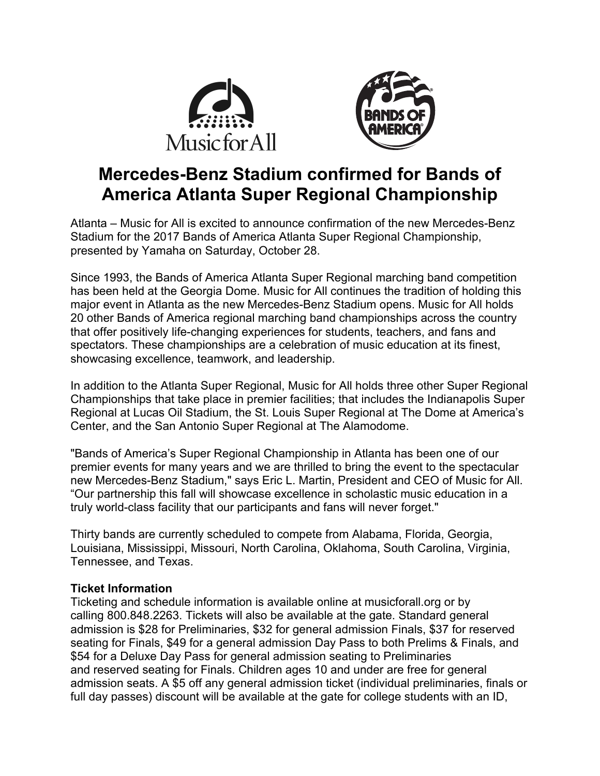



# **Mercedes-Benz Stadium confirmed for Bands of America Atlanta Super Regional Championship**

Atlanta – Music for All is excited to announce confirmation of the new Mercedes-Benz Stadium for the 2017 Bands of America Atlanta Super Regional Championship, presented by Yamaha on Saturday, October 28.

Since 1993, the Bands of America Atlanta Super Regional marching band competition has been held at the Georgia Dome. Music for All continues the tradition of holding this major event in Atlanta as the new Mercedes-Benz Stadium opens. Music for All holds 20 other Bands of America regional marching band championships across the country that offer positively life-changing experiences for students, teachers, and fans and spectators. These championships are a celebration of music education at its finest, showcasing excellence, teamwork, and leadership.

In addition to the Atlanta Super Regional, Music for All holds three other Super Regional Championships that take place in premier facilities; that includes the Indianapolis Super Regional at Lucas Oil Stadium, the St. Louis Super Regional at The Dome at America's Center, and the San Antonio Super Regional at The Alamodome.

"Bands of America's Super Regional Championship in Atlanta has been one of our premier events for many years and we are thrilled to bring the event to the spectacular new Mercedes-Benz Stadium," says Eric L. Martin, President and CEO of Music for All. "Our partnership this fall will showcase excellence in scholastic music education in a truly world-class facility that our participants and fans will never forget."

Thirty bands are currently scheduled to compete from Alabama, Florida, Georgia, Louisiana, Mississippi, Missouri, North Carolina, Oklahoma, South Carolina, Virginia, Tennessee, and Texas.

## **Ticket Information**

Ticketing and schedule information is available online at musicforall.org or by calling 800.848.2263. Tickets will also be available at the gate. Standard general admission is \$28 for Preliminaries, \$32 for general admission Finals, \$37 for reserved seating for Finals, \$49 for a general admission Day Pass to both Prelims & Finals, and \$54 for a Deluxe Day Pass for general admission seating to Preliminaries and reserved seating for Finals. Children ages 10 and under are free for general admission seats. A \$5 off any general admission ticket (individual preliminaries, finals or full day passes) discount will be available at the gate for college students with an ID,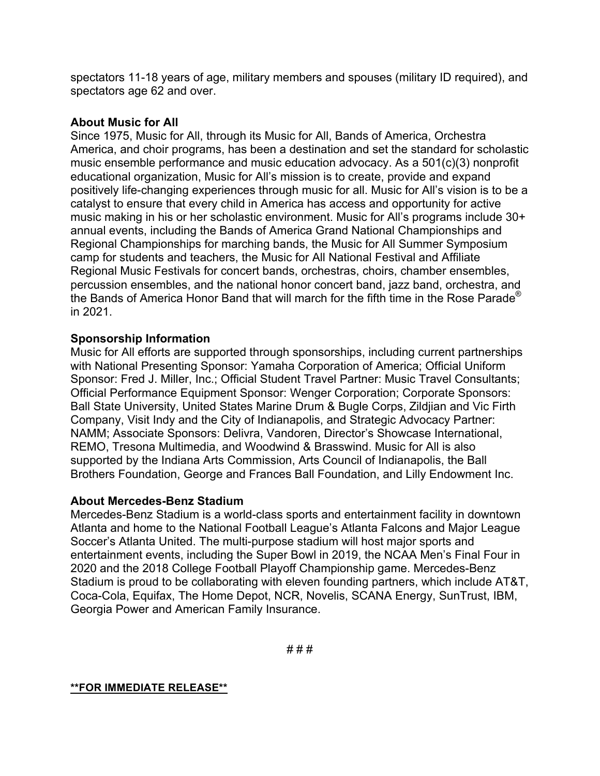spectators 11-18 years of age, military members and spouses (military ID required), and spectators age 62 and over.

#### **About Music for All**

Since 1975, Music for All, through its Music for All, Bands of America, Orchestra America, and choir programs, has been a destination and set the standard for scholastic music ensemble performance and music education advocacy. As a 501(c)(3) nonprofit educational organization, Music for All's mission is to create, provide and expand positively life-changing experiences through music for all. Music for All's vision is to be a catalyst to ensure that every child in America has access and opportunity for active music making in his or her scholastic environment. Music for All's programs include 30+ annual events, including the Bands of America Grand National Championships and Regional Championships for marching bands, the Music for All Summer Symposium camp for students and teachers, the Music for All National Festival and Affiliate Regional Music Festivals for concert bands, orchestras, choirs, chamber ensembles, percussion ensembles, and the national honor concert band, jazz band, orchestra, and the Bands of America Honor Band that will march for the fifth time in the Rose Parade® in 2021.

### **Sponsorship Information**

Music for All efforts are supported through sponsorships, including current partnerships with National Presenting Sponsor: Yamaha Corporation of America; Official Uniform Sponsor: Fred J. Miller, Inc.; Official Student Travel Partner: Music Travel Consultants; Official Performance Equipment Sponsor: Wenger Corporation; Corporate Sponsors: Ball State University, United States Marine Drum & Bugle Corps, Zildjian and Vic Firth Company, Visit Indy and the City of Indianapolis, and Strategic Advocacy Partner: NAMM; Associate Sponsors: Delivra, Vandoren, Director's Showcase International, REMO, Tresona Multimedia, and Woodwind & Brasswind. Music for All is also supported by the Indiana Arts Commission, Arts Council of Indianapolis, the Ball Brothers Foundation, George and Frances Ball Foundation, and Lilly Endowment Inc.

#### **About Mercedes-Benz Stadium**

Mercedes-Benz Stadium is a world-class sports and entertainment facility in downtown Atlanta and home to the National Football League's Atlanta Falcons and Major League Soccer's Atlanta United. The multi-purpose stadium will host major sports and entertainment events, including the Super Bowl in 2019, the NCAA Men's Final Four in 2020 and the 2018 College Football Playoff Championship game. Mercedes-Benz Stadium is proud to be collaborating with eleven founding partners, which include AT&T, Coca-Cola, Equifax, The Home Depot, NCR, Novelis, SCANA Energy, SunTrust, IBM, Georgia Power and American Family Insurance.